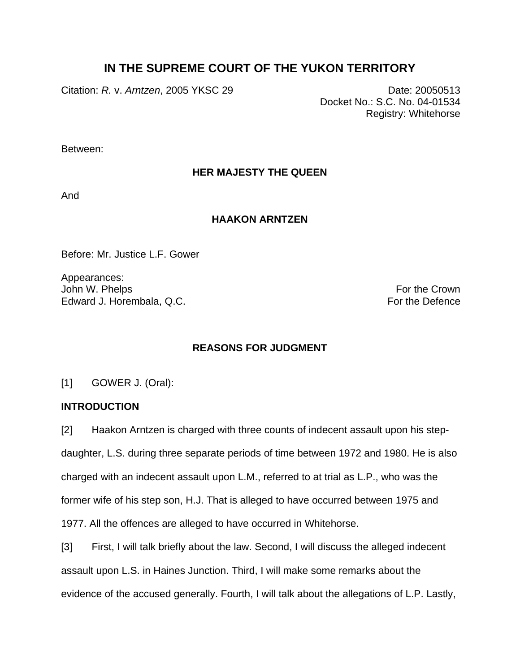# **IN THE SUPREME COURT OF THE YUKON TERRITORY**

Citation: *R.* v. *Arntzen*, 2005 YKSC 29 Date: 20050513

Docket No.: S.C. No. 04-01534 Registry: Whitehorse

Between:

## **HER MAJESTY THE QUEEN**

And

### **HAAKON ARNTZEN**

Before: Mr. Justice L.F. Gower

Appearances: John W. Phelps **For the Crown** Edward J. Horembala, Q.C. **For the Defence** For the Defence

## **REASONS FOR JUDGMENT**

[1] GOWER J. (Oral):

### **INTRODUCTION**

[2] Haakon Arntzen is charged with three counts of indecent assault upon his stepdaughter, L.S. during three separate periods of time between 1972 and 1980. He is also charged with an indecent assault upon L.M., referred to at trial as L.P., who was the former wife of his step son, H.J. That is alleged to have occurred between 1975 and 1977. All the offences are alleged to have occurred in Whitehorse.

[3] First, I will talk briefly about the law. Second, I will discuss the alleged indecent assault upon L.S. in Haines Junction. Third, I will make some remarks about the evidence of the accused generally. Fourth, I will talk about the allegations of L.P. Lastly,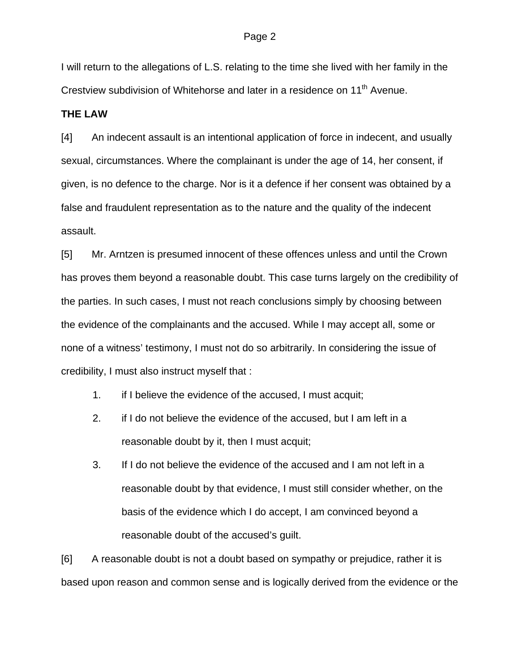I will return to the allegations of L.S. relating to the time she lived with her family in the Crestview subdivision of Whitehorse and later in a residence on 11<sup>th</sup> Avenue.

### **THE LAW**

[4] An indecent assault is an intentional application of force in indecent, and usually sexual, circumstances. Where the complainant is under the age of 14, her consent, if given, is no defence to the charge. Nor is it a defence if her consent was obtained by a false and fraudulent representation as to the nature and the quality of the indecent assault.

[5] Mr. Arntzen is presumed innocent of these offences unless and until the Crown has proves them beyond a reasonable doubt. This case turns largely on the credibility of the parties. In such cases, I must not reach conclusions simply by choosing between the evidence of the complainants and the accused. While I may accept all, some or none of a witness' testimony, I must not do so arbitrarily. In considering the issue of credibility, I must also instruct myself that :

- 1. if I believe the evidence of the accused, I must acquit;
- 2. if I do not believe the evidence of the accused, but I am left in a reasonable doubt by it, then I must acquit;
- 3. If I do not believe the evidence of the accused and I am not left in a reasonable doubt by that evidence, I must still consider whether, on the basis of the evidence which I do accept, I am convinced beyond a reasonable doubt of the accused's guilt.

[6] A reasonable doubt is not a doubt based on sympathy or prejudice, rather it is based upon reason and common sense and is logically derived from the evidence or the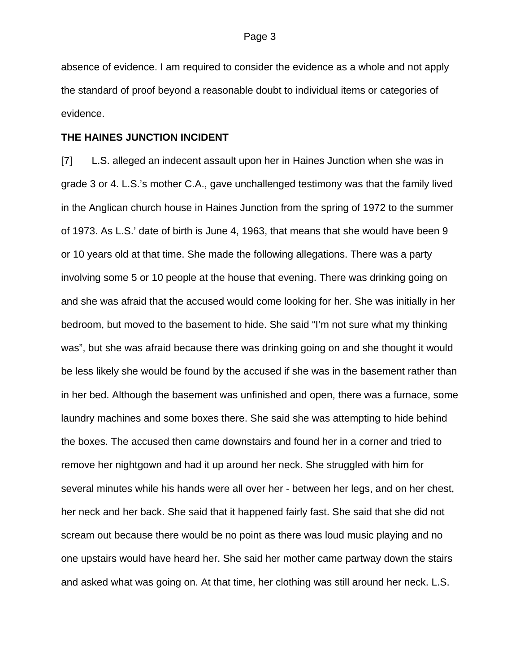absence of evidence. I am required to consider the evidence as a whole and not apply the standard of proof beyond a reasonable doubt to individual items or categories of evidence.

### **THE HAINES JUNCTION INCIDENT**

[7] L.S. alleged an indecent assault upon her in Haines Junction when she was in grade 3 or 4. L.S.'s mother C.A., gave unchallenged testimony was that the family lived in the Anglican church house in Haines Junction from the spring of 1972 to the summer of 1973. As L.S.' date of birth is June 4, 1963, that means that she would have been 9 or 10 years old at that time. She made the following allegations. There was a party involving some 5 or 10 people at the house that evening. There was drinking going on and she was afraid that the accused would come looking for her. She was initially in her bedroom, but moved to the basement to hide. She said "I'm not sure what my thinking was", but she was afraid because there was drinking going on and she thought it would be less likely she would be found by the accused if she was in the basement rather than in her bed. Although the basement was unfinished and open, there was a furnace, some laundry machines and some boxes there. She said she was attempting to hide behind the boxes. The accused then came downstairs and found her in a corner and tried to remove her nightgown and had it up around her neck. She struggled with him for several minutes while his hands were all over her - between her legs, and on her chest, her neck and her back. She said that it happened fairly fast. She said that she did not scream out because there would be no point as there was loud music playing and no one upstairs would have heard her. She said her mother came partway down the stairs and asked what was going on. At that time, her clothing was still around her neck. L.S.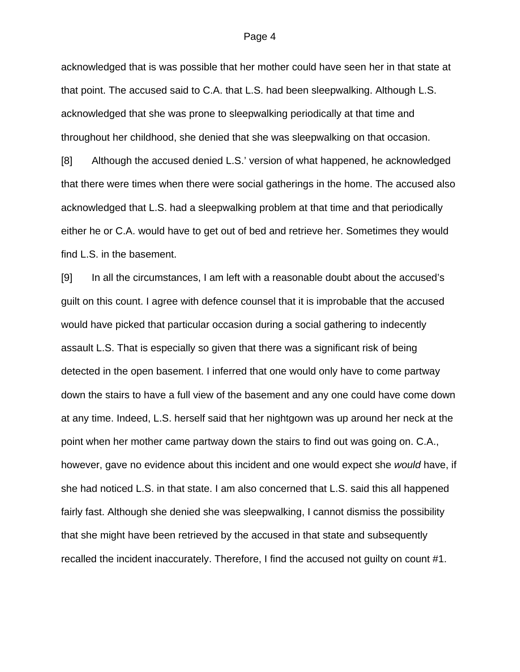#### Page 4

acknowledged that is was possible that her mother could have seen her in that state at that point. The accused said to C.A. that L.S. had been sleepwalking. Although L.S. acknowledged that she was prone to sleepwalking periodically at that time and throughout her childhood, she denied that she was sleepwalking on that occasion. [8] Although the accused denied L.S.' version of what happened, he acknowledged

that there were times when there were social gatherings in the home. The accused also acknowledged that L.S. had a sleepwalking problem at that time and that periodically either he or C.A. would have to get out of bed and retrieve her. Sometimes they would find L.S. in the basement.

[9] In all the circumstances, I am left with a reasonable doubt about the accused's guilt on this count. I agree with defence counsel that it is improbable that the accused would have picked that particular occasion during a social gathering to indecently assault L.S. That is especially so given that there was a significant risk of being detected in the open basement. I inferred that one would only have to come partway down the stairs to have a full view of the basement and any one could have come down at any time. Indeed, L.S. herself said that her nightgown was up around her neck at the point when her mother came partway down the stairs to find out was going on. C.A., however, gave no evidence about this incident and one would expect she *would* have, if she had noticed L.S. in that state. I am also concerned that L.S. said this all happened fairly fast. Although she denied she was sleepwalking, I cannot dismiss the possibility that she might have been retrieved by the accused in that state and subsequently recalled the incident inaccurately. Therefore, I find the accused not guilty on count #1.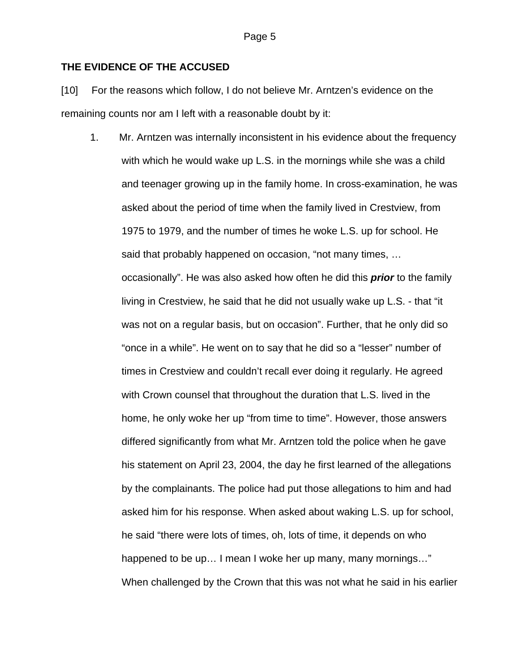### **THE EVIDENCE OF THE ACCUSED**

[10] For the reasons which follow, I do not believe Mr. Arntzen's evidence on the remaining counts nor am I left with a reasonable doubt by it:

1. Mr. Arntzen was internally inconsistent in his evidence about the frequency with which he would wake up L.S. in the mornings while she was a child and teenager growing up in the family home. In cross-examination, he was asked about the period of time when the family lived in Crestview, from 1975 to 1979, and the number of times he woke L.S. up for school. He said that probably happened on occasion, "not many times, … occasionally". He was also asked how often he did this *prior* to the family living in Crestview, he said that he did not usually wake up L.S. - that "it was not on a regular basis, but on occasion". Further, that he only did so "once in a while". He went on to say that he did so a "lesser" number of times in Crestview and couldn't recall ever doing it regularly. He agreed with Crown counsel that throughout the duration that L.S. lived in the home, he only woke her up "from time to time". However, those answers differed significantly from what Mr. Arntzen told the police when he gave his statement on April 23, 2004, the day he first learned of the allegations by the complainants. The police had put those allegations to him and had asked him for his response. When asked about waking L.S. up for school, he said "there were lots of times, oh, lots of time, it depends on who happened to be up... I mean I woke her up many, many mornings..." When challenged by the Crown that this was not what he said in his earlier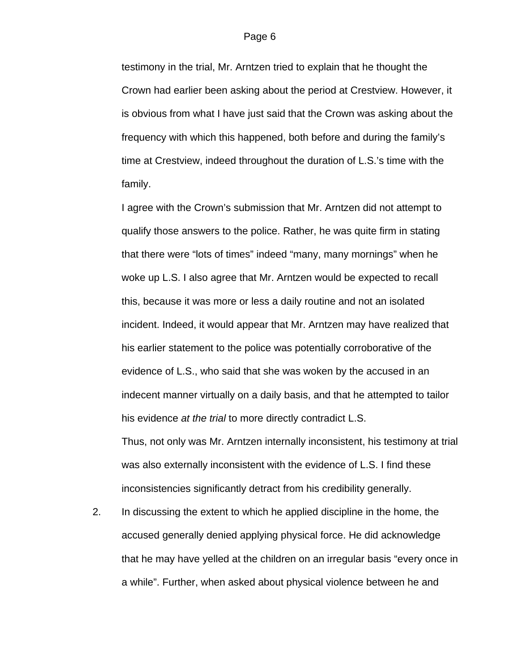testimony in the trial, Mr. Arntzen tried to explain that he thought the Crown had earlier been asking about the period at Crestview. However, it is obvious from what I have just said that the Crown was asking about the frequency with which this happened, both before and during the family's time at Crestview, indeed throughout the duration of L.S.'s time with the family.

I agree with the Crown's submission that Mr. Arntzen did not attempt to qualify those answers to the police. Rather, he was quite firm in stating that there were "lots of times" indeed "many, many mornings" when he woke up L.S. I also agree that Mr. Arntzen would be expected to recall this, because it was more or less a daily routine and not an isolated incident. Indeed, it would appear that Mr. Arntzen may have realized that his earlier statement to the police was potentially corroborative of the evidence of L.S., who said that she was woken by the accused in an indecent manner virtually on a daily basis, and that he attempted to tailor his evidence *at the trial* to more directly contradict L.S.

Thus, not only was Mr. Arntzen internally inconsistent, his testimony at trial was also externally inconsistent with the evidence of L.S. I find these inconsistencies significantly detract from his credibility generally.

2. In discussing the extent to which he applied discipline in the home, the accused generally denied applying physical force. He did acknowledge that he may have yelled at the children on an irregular basis "every once in a while". Further, when asked about physical violence between he and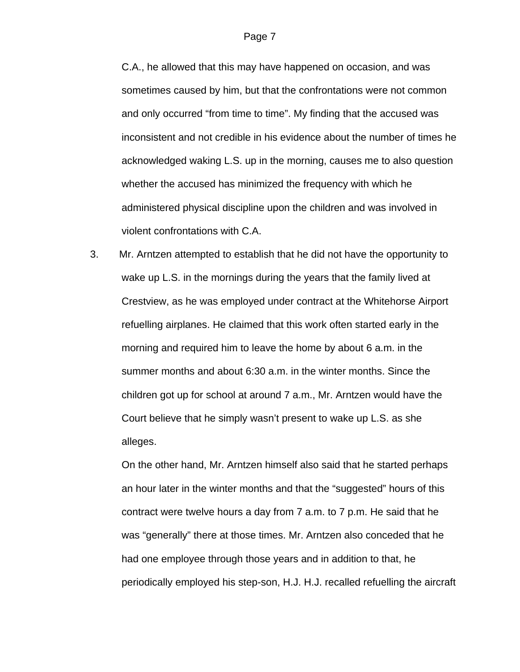C.A., he allowed that this may have happened on occasion, and was sometimes caused by him, but that the confrontations were not common and only occurred "from time to time". My finding that the accused was inconsistent and not credible in his evidence about the number of times he acknowledged waking L.S. up in the morning, causes me to also question whether the accused has minimized the frequency with which he administered physical discipline upon the children and was involved in violent confrontations with C.A.

3. Mr. Arntzen attempted to establish that he did not have the opportunity to wake up L.S. in the mornings during the years that the family lived at Crestview, as he was employed under contract at the Whitehorse Airport refuelling airplanes. He claimed that this work often started early in the morning and required him to leave the home by about 6 a.m. in the summer months and about 6:30 a.m. in the winter months. Since the children got up for school at around 7 a.m., Mr. Arntzen would have the Court believe that he simply wasn't present to wake up L.S. as she alleges.

On the other hand, Mr. Arntzen himself also said that he started perhaps an hour later in the winter months and that the "suggested" hours of this contract were twelve hours a day from 7 a.m. to 7 p.m. He said that he was "generally" there at those times. Mr. Arntzen also conceded that he had one employee through those years and in addition to that, he periodically employed his step-son, H.J. H.J. recalled refuelling the aircraft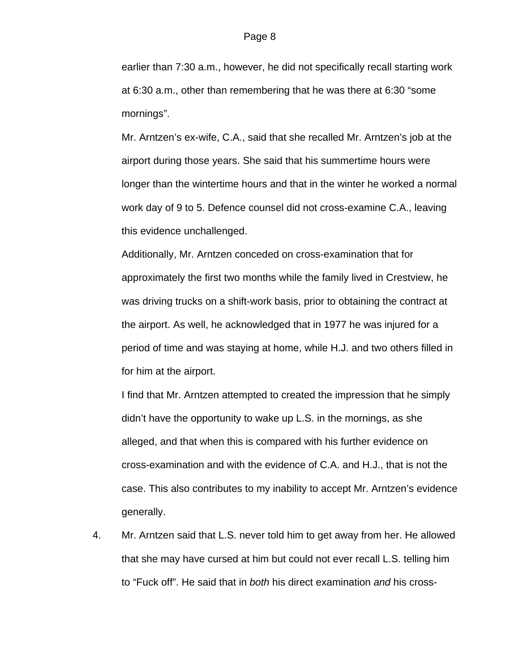earlier than 7:30 a.m., however, he did not specifically recall starting work at 6:30 a.m., other than remembering that he was there at 6:30 "some mornings".

Mr. Arntzen's ex-wife, C.A., said that she recalled Mr. Arntzen's job at the airport during those years. She said that his summertime hours were longer than the wintertime hours and that in the winter he worked a normal work day of 9 to 5. Defence counsel did not cross-examine C.A., leaving this evidence unchallenged.

Additionally, Mr. Arntzen conceded on cross-examination that for approximately the first two months while the family lived in Crestview, he was driving trucks on a shift-work basis, prior to obtaining the contract at the airport. As well, he acknowledged that in 1977 he was injured for a period of time and was staying at home, while H.J. and two others filled in for him at the airport.

I find that Mr. Arntzen attempted to created the impression that he simply didn't have the opportunity to wake up L.S. in the mornings, as she alleged, and that when this is compared with his further evidence on cross-examination and with the evidence of C.A. and H.J., that is not the case. This also contributes to my inability to accept Mr. Arntzen's evidence generally.

4. Mr. Arntzen said that L.S. never told him to get away from her. He allowed that she may have cursed at him but could not ever recall L.S. telling him to "Fuck off". He said that in *both* his direct examination *and* his cross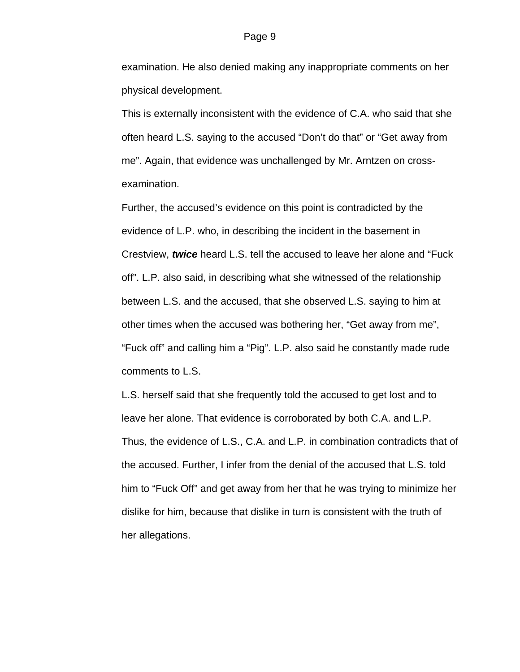examination. He also denied making any inappropriate comments on her physical development.

This is externally inconsistent with the evidence of C.A. who said that she often heard L.S. saying to the accused "Don't do that" or "Get away from me". Again, that evidence was unchallenged by Mr. Arntzen on crossexamination.

Further, the accused's evidence on this point is contradicted by the evidence of L.P. who, in describing the incident in the basement in Crestview, *twice* heard L.S. tell the accused to leave her alone and "Fuck off". L.P. also said, in describing what she witnessed of the relationship between L.S. and the accused, that she observed L.S. saying to him at other times when the accused was bothering her, "Get away from me", "Fuck off" and calling him a "Pig". L.P. also said he constantly made rude comments to L.S.

L.S. herself said that she frequently told the accused to get lost and to leave her alone. That evidence is corroborated by both C.A. and L.P. Thus, the evidence of L.S., C.A. and L.P. in combination contradicts that of the accused. Further, I infer from the denial of the accused that L.S. told him to "Fuck Off" and get away from her that he was trying to minimize her dislike for him, because that dislike in turn is consistent with the truth of her allegations.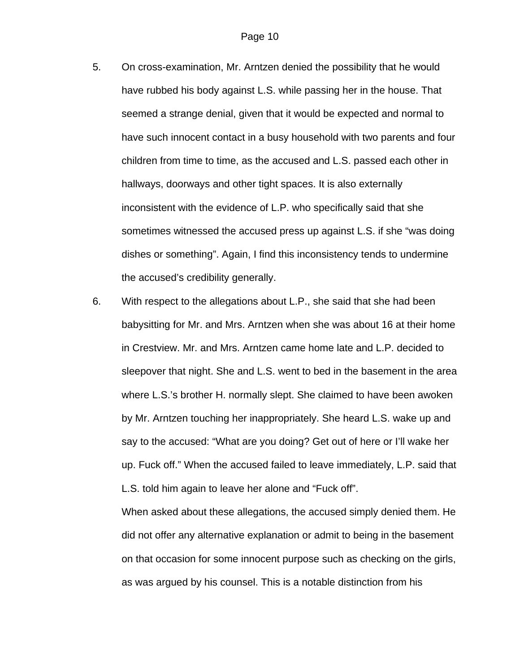- 5. On cross-examination, Mr. Arntzen denied the possibility that he would have rubbed his body against L.S. while passing her in the house. That seemed a strange denial, given that it would be expected and normal to have such innocent contact in a busy household with two parents and four children from time to time, as the accused and L.S. passed each other in hallways, doorways and other tight spaces. It is also externally inconsistent with the evidence of L.P. who specifically said that she sometimes witnessed the accused press up against L.S. if she "was doing dishes or something". Again, I find this inconsistency tends to undermine the accused's credibility generally.
- 6. With respect to the allegations about L.P., she said that she had been babysitting for Mr. and Mrs. Arntzen when she was about 16 at their home in Crestview. Mr. and Mrs. Arntzen came home late and L.P. decided to sleepover that night. She and L.S. went to bed in the basement in the area where L.S.'s brother H. normally slept. She claimed to have been awoken by Mr. Arntzen touching her inappropriately. She heard L.S. wake up and say to the accused: "What are you doing? Get out of here or I'll wake her up. Fuck off." When the accused failed to leave immediately, L.P. said that L.S. told him again to leave her alone and "Fuck off".

When asked about these allegations, the accused simply denied them. He did not offer any alternative explanation or admit to being in the basement on that occasion for some innocent purpose such as checking on the girls, as was argued by his counsel. This is a notable distinction from his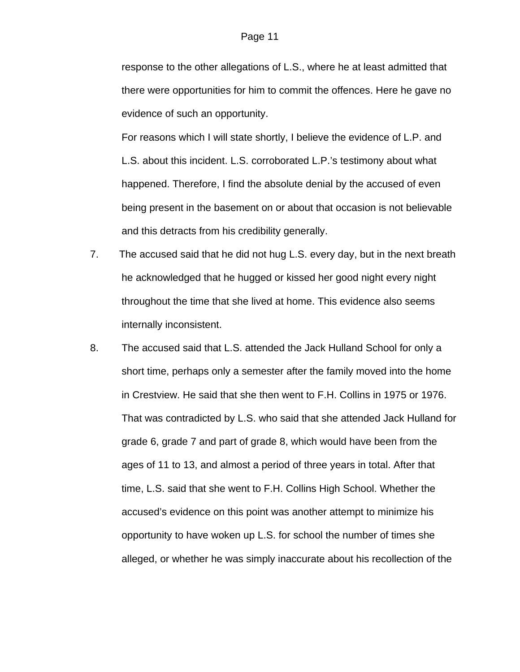response to the other allegations of L.S., where he at least admitted that there were opportunities for him to commit the offences. Here he gave no evidence of such an opportunity.

For reasons which I will state shortly, I believe the evidence of L.P. and L.S. about this incident. L.S. corroborated L.P.'s testimony about what happened. Therefore, I find the absolute denial by the accused of even being present in the basement on or about that occasion is not believable and this detracts from his credibility generally.

- 7. The accused said that he did not hug L.S. every day, but in the next breath he acknowledged that he hugged or kissed her good night every night throughout the time that she lived at home. This evidence also seems internally inconsistent.
- 8. The accused said that L.S. attended the Jack Hulland School for only a short time, perhaps only a semester after the family moved into the home in Crestview. He said that she then went to F.H. Collins in 1975 or 1976. That was contradicted by L.S. who said that she attended Jack Hulland for grade 6, grade 7 and part of grade 8, which would have been from the ages of 11 to 13, and almost a period of three years in total. After that time, L.S. said that she went to F.H. Collins High School. Whether the accused's evidence on this point was another attempt to minimize his opportunity to have woken up L.S. for school the number of times she alleged, or whether he was simply inaccurate about his recollection of the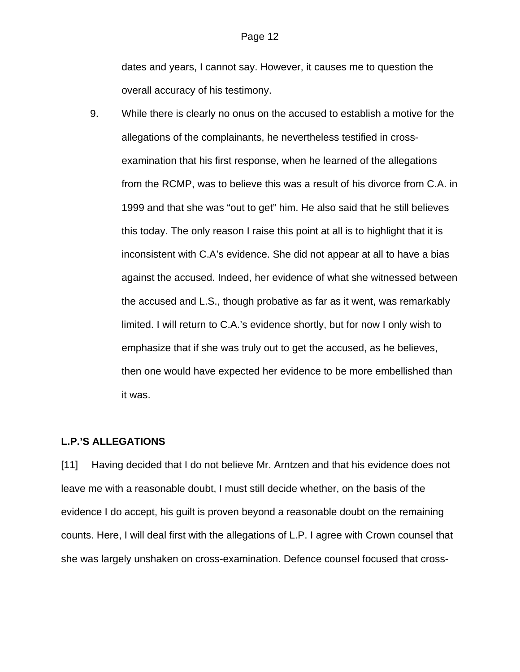dates and years, I cannot say. However, it causes me to question the overall accuracy of his testimony.

9. While there is clearly no onus on the accused to establish a motive for the allegations of the complainants, he nevertheless testified in crossexamination that his first response, when he learned of the allegations from the RCMP, was to believe this was a result of his divorce from C.A. in 1999 and that she was "out to get" him. He also said that he still believes this today. The only reason I raise this point at all is to highlight that it is inconsistent with C.A's evidence. She did not appear at all to have a bias against the accused. Indeed, her evidence of what she witnessed between the accused and L.S., though probative as far as it went, was remarkably limited. I will return to C.A.'s evidence shortly, but for now I only wish to emphasize that if she was truly out to get the accused, as he believes, then one would have expected her evidence to be more embellished than it was.

### **L.P.'S ALLEGATIONS**

[11] Having decided that I do not believe Mr. Arntzen and that his evidence does not leave me with a reasonable doubt, I must still decide whether, on the basis of the evidence I do accept, his guilt is proven beyond a reasonable doubt on the remaining counts. Here, I will deal first with the allegations of L.P. I agree with Crown counsel that she was largely unshaken on cross-examination. Defence counsel focused that cross-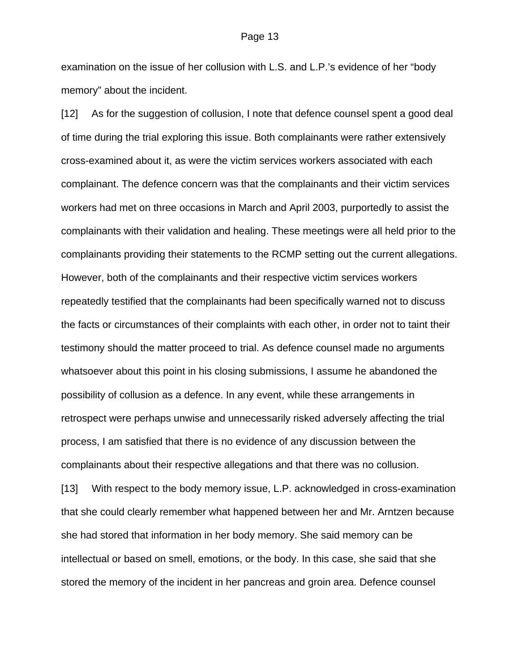#### Page 13

examination on the issue of her collusion with L.S. and L.P.'s evidence of her "body memory" about the incident.

[12] As for the suggestion of collusion, I note that defence counsel spent a good deal of time during the trial exploring this issue. Both complainants were rather extensively cross-examined about it, as were the victim services workers associated with each complainant. The defence concern was that the complainants and their victim services workers had met on three occasions in March and April 2003, purportedly to assist the complainants with their validation and healing. These meetings were all held prior to the complainants providing their statements to the RCMP setting out the current allegations. However, both of the complainants and their respective victim services workers repeatedly testified that the complainants had been specifically warned not to discuss the facts or circumstances of their complaints with each other, in order not to taint their testimony should the matter proceed to trial. As defence counsel made no arguments whatsoever about this point in his closing submissions, I assume he abandoned the possibility of collusion as a defence. In any event, while these arrangements in retrospect were perhaps unwise and unnecessarily risked adversely affecting the trial process, I am satisfied that there is no evidence of any discussion between the complainants about their respective allegations and that there was no collusion. [13] With respect to the body memory issue, L.P. acknowledged in cross-examination that she could clearly remember what happened between her and Mr. Arntzen because she had stored that information in her body memory. She said memory can be

stored the memory of the incident in her pancreas and groin area. Defence counsel

intellectual or based on smell, emotions, or the body. In this case, she said that she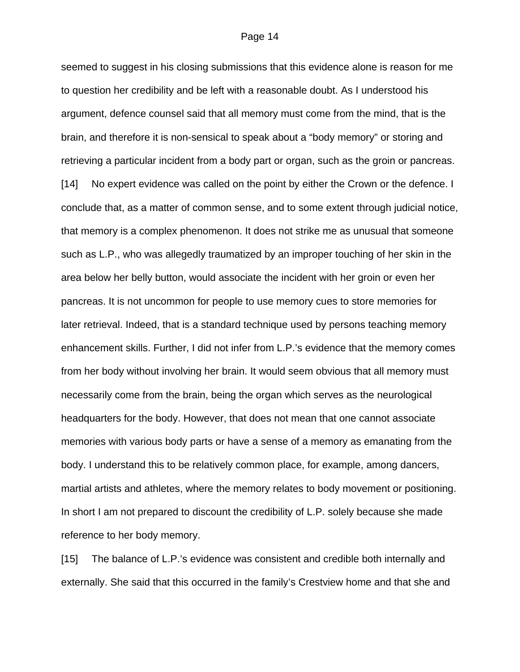seemed to suggest in his closing submissions that this evidence alone is reason for me to question her credibility and be left with a reasonable doubt. As I understood his argument, defence counsel said that all memory must come from the mind, that is the brain, and therefore it is non-sensical to speak about a "body memory" or storing and retrieving a particular incident from a body part or organ, such as the groin or pancreas. [14] No expert evidence was called on the point by either the Crown or the defence. I conclude that, as a matter of common sense, and to some extent through judicial notice, that memory is a complex phenomenon. It does not strike me as unusual that someone such as L.P., who was allegedly traumatized by an improper touching of her skin in the area below her belly button, would associate the incident with her groin or even her pancreas. It is not uncommon for people to use memory cues to store memories for later retrieval. Indeed, that is a standard technique used by persons teaching memory enhancement skills. Further, I did not infer from L.P.'s evidence that the memory comes from her body without involving her brain. It would seem obvious that all memory must necessarily come from the brain, being the organ which serves as the neurological headquarters for the body. However, that does not mean that one cannot associate memories with various body parts or have a sense of a memory as emanating from the body. I understand this to be relatively common place, for example, among dancers, martial artists and athletes, where the memory relates to body movement or positioning. In short I am not prepared to discount the credibility of L.P. solely because she made reference to her body memory.

[15] The balance of L.P.'s evidence was consistent and credible both internally and externally. She said that this occurred in the family's Crestview home and that she and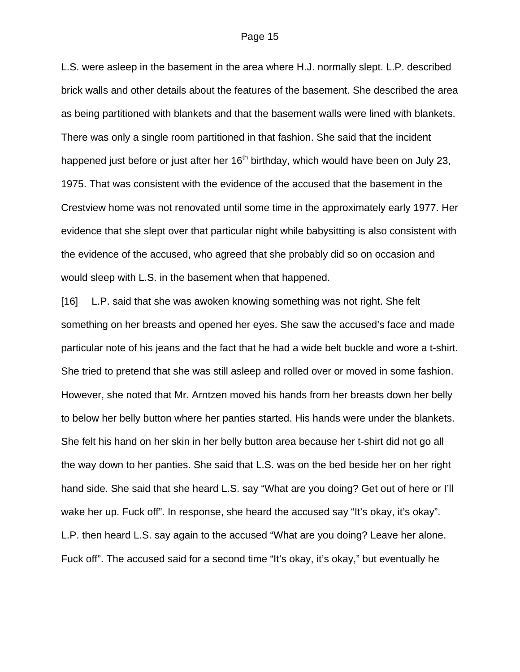L.S. were asleep in the basement in the area where H.J. normally slept. L.P. described brick walls and other details about the features of the basement. She described the area as being partitioned with blankets and that the basement walls were lined with blankets. There was only a single room partitioned in that fashion. She said that the incident happened just before or just after her 16<sup>th</sup> birthday, which would have been on July 23, 1975. That was consistent with the evidence of the accused that the basement in the Crestview home was not renovated until some time in the approximately early 1977. Her evidence that she slept over that particular night while babysitting is also consistent with the evidence of the accused, who agreed that she probably did so on occasion and would sleep with L.S. in the basement when that happened.

[16] L.P. said that she was awoken knowing something was not right. She felt something on her breasts and opened her eyes. She saw the accused's face and made particular note of his jeans and the fact that he had a wide belt buckle and wore a t-shirt. She tried to pretend that she was still asleep and rolled over or moved in some fashion. However, she noted that Mr. Arntzen moved his hands from her breasts down her belly to below her belly button where her panties started. His hands were under the blankets. She felt his hand on her skin in her belly button area because her t-shirt did not go all the way down to her panties. She said that L.S. was on the bed beside her on her right hand side. She said that she heard L.S. say "What are you doing? Get out of here or I'll wake her up. Fuck off". In response, she heard the accused say "It's okay, it's okay". L.P. then heard L.S. say again to the accused "What are you doing? Leave her alone. Fuck off". The accused said for a second time "It's okay, it's okay," but eventually he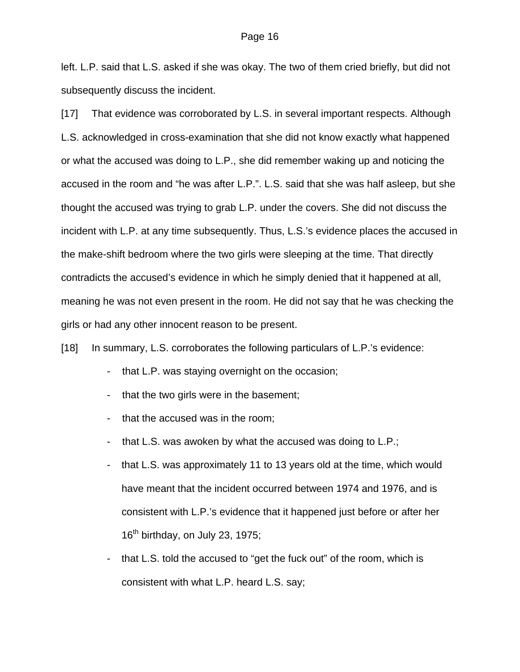left. L.P. said that L.S. asked if she was okay. The two of them cried briefly, but did not subsequently discuss the incident.

[17] That evidence was corroborated by L.S. in several important respects. Although L.S. acknowledged in cross-examination that she did not know exactly what happened or what the accused was doing to L.P., she did remember waking up and noticing the accused in the room and "he was after L.P.". L.S. said that she was half asleep, but she thought the accused was trying to grab L.P. under the covers. She did not discuss the incident with L.P. at any time subsequently. Thus, L.S.'s evidence places the accused in the make-shift bedroom where the two girls were sleeping at the time. That directly contradicts the accused's evidence in which he simply denied that it happened at all, meaning he was not even present in the room. He did not say that he was checking the girls or had any other innocent reason to be present.

[18] In summary, L.S. corroborates the following particulars of L.P.'s evidence:

- that L.P. was staying overnight on the occasion;
- that the two girls were in the basement;
- that the accused was in the room;
- that L.S. was awoken by what the accused was doing to L.P.;
- that L.S. was approximately 11 to 13 years old at the time, which would have meant that the incident occurred between 1974 and 1976, and is consistent with L.P.'s evidence that it happened just before or after her  $16<sup>th</sup>$  birthday, on July 23, 1975;
- that L.S. told the accused to "get the fuck out" of the room, which is consistent with what L.P. heard L.S. say;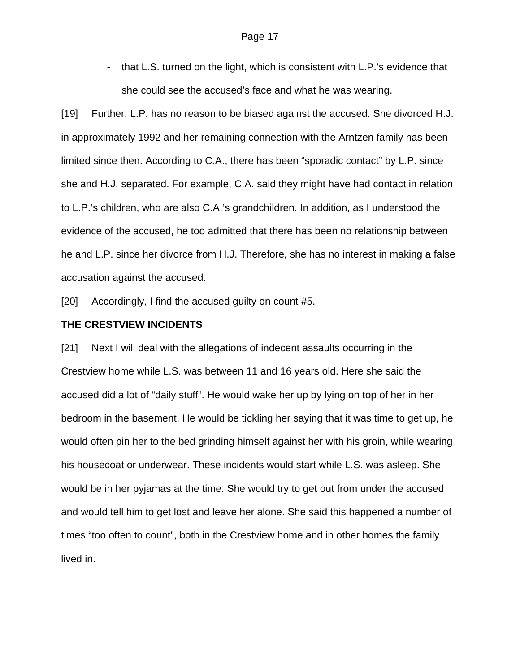- that L.S. turned on the light, which is consistent with L.P.'s evidence that she could see the accused's face and what he was wearing.

[19] Further, L.P. has no reason to be biased against the accused. She divorced H.J. in approximately 1992 and her remaining connection with the Arntzen family has been limited since then. According to C.A., there has been "sporadic contact" by L.P. since she and H.J. separated. For example, C.A. said they might have had contact in relation to L.P.'s children, who are also C.A.'s grandchildren. In addition, as I understood the evidence of the accused, he too admitted that there has been no relationship between he and L.P. since her divorce from H.J. Therefore, she has no interest in making a false accusation against the accused.

[20] Accordingly, I find the accused guilty on count #5.

### **THE CRESTVIEW INCIDENTS**

[21] Next I will deal with the allegations of indecent assaults occurring in the Crestview home while L.S. was between 11 and 16 years old. Here she said the accused did a lot of "daily stuff". He would wake her up by lying on top of her in her bedroom in the basement. He would be tickling her saying that it was time to get up, he would often pin her to the bed grinding himself against her with his groin, while wearing his housecoat or underwear. These incidents would start while L.S. was asleep. She would be in her pyjamas at the time. She would try to get out from under the accused and would tell him to get lost and leave her alone. She said this happened a number of times "too often to count", both in the Crestview home and in other homes the family lived in.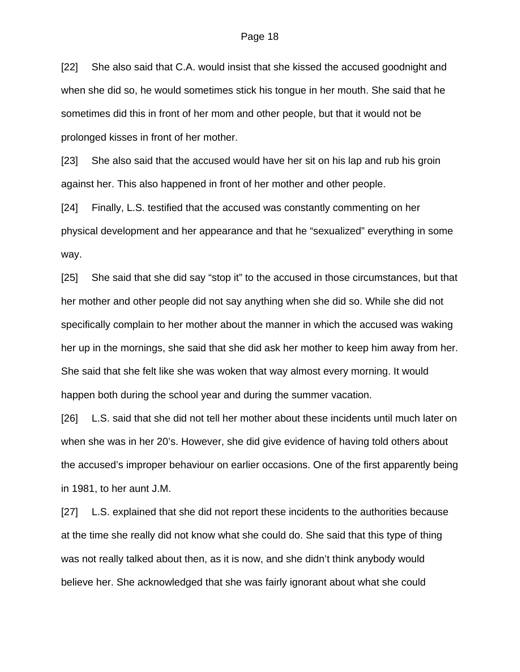[22] She also said that C.A. would insist that she kissed the accused goodnight and when she did so, he would sometimes stick his tongue in her mouth. She said that he sometimes did this in front of her mom and other people, but that it would not be prolonged kisses in front of her mother.

[23] She also said that the accused would have her sit on his lap and rub his groin against her. This also happened in front of her mother and other people.

[24] Finally, L.S. testified that the accused was constantly commenting on her physical development and her appearance and that he "sexualized" everything in some way.

[25] She said that she did say "stop it" to the accused in those circumstances, but that her mother and other people did not say anything when she did so. While she did not specifically complain to her mother about the manner in which the accused was waking her up in the mornings, she said that she did ask her mother to keep him away from her. She said that she felt like she was woken that way almost every morning. It would happen both during the school year and during the summer vacation.

[26] L.S. said that she did not tell her mother about these incidents until much later on when she was in her 20's. However, she did give evidence of having told others about the accused's improper behaviour on earlier occasions. One of the first apparently being in 1981, to her aunt J.M.

[27] L.S. explained that she did not report these incidents to the authorities because at the time she really did not know what she could do. She said that this type of thing was not really talked about then, as it is now, and she didn't think anybody would believe her. She acknowledged that she was fairly ignorant about what she could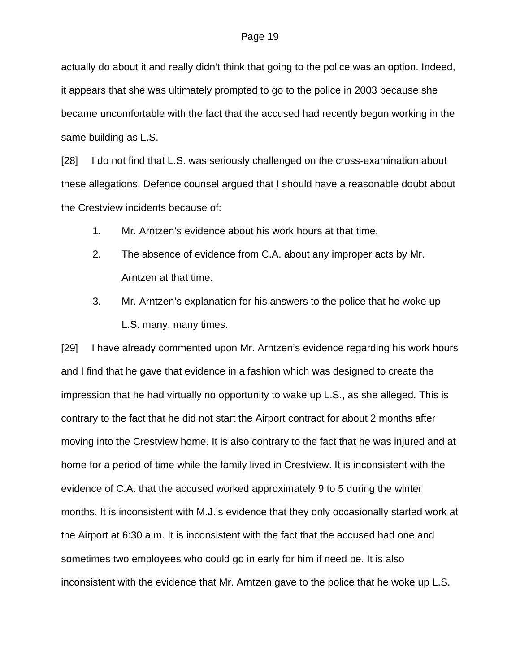actually do about it and really didn't think that going to the police was an option. Indeed, it appears that she was ultimately prompted to go to the police in 2003 because she became uncomfortable with the fact that the accused had recently begun working in the same building as L.S.

[28] I do not find that L.S. was seriously challenged on the cross-examination about these allegations. Defence counsel argued that I should have a reasonable doubt about the Crestview incidents because of:

- 1. Mr. Arntzen's evidence about his work hours at that time.
- 2. The absence of evidence from C.A. about any improper acts by Mr. Arntzen at that time.
- 3. Mr. Arntzen's explanation for his answers to the police that he woke up L.S. many, many times.

[29] I have already commented upon Mr. Arntzen's evidence regarding his work hours and I find that he gave that evidence in a fashion which was designed to create the impression that he had virtually no opportunity to wake up L.S., as she alleged. This is contrary to the fact that he did not start the Airport contract for about 2 months after moving into the Crestview home. It is also contrary to the fact that he was injured and at home for a period of time while the family lived in Crestview. It is inconsistent with the evidence of C.A. that the accused worked approximately 9 to 5 during the winter months. It is inconsistent with M.J.'s evidence that they only occasionally started work at the Airport at 6:30 a.m. It is inconsistent with the fact that the accused had one and sometimes two employees who could go in early for him if need be. It is also inconsistent with the evidence that Mr. Arntzen gave to the police that he woke up L.S.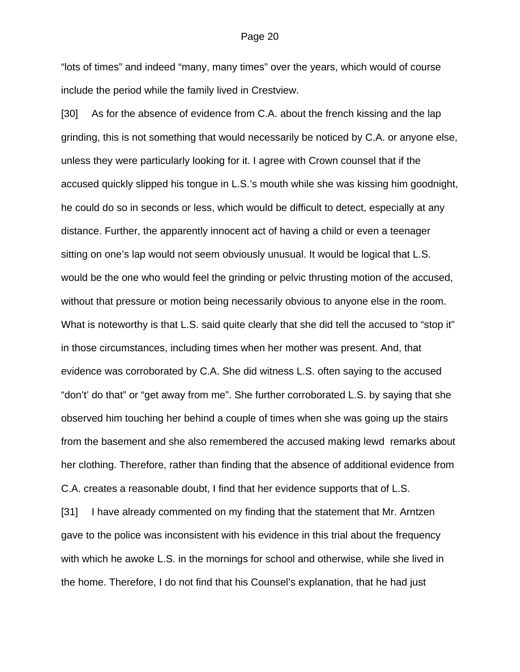"lots of times" and indeed "many, many times" over the years, which would of course include the period while the family lived in Crestview.

[30] As for the absence of evidence from C.A. about the french kissing and the lap grinding, this is not something that would necessarily be noticed by C.A. or anyone else, unless they were particularly looking for it. I agree with Crown counsel that if the accused quickly slipped his tongue in L.S.'s mouth while she was kissing him goodnight, he could do so in seconds or less, which would be difficult to detect, especially at any distance. Further, the apparently innocent act of having a child or even a teenager sitting on one's lap would not seem obviously unusual. It would be logical that L.S. would be the one who would feel the grinding or pelvic thrusting motion of the accused, without that pressure or motion being necessarily obvious to anyone else in the room. What is noteworthy is that L.S. said quite clearly that she did tell the accused to "stop it" in those circumstances, including times when her mother was present. And, that evidence was corroborated by C.A. She did witness L.S. often saying to the accused "don't' do that" or "get away from me". She further corroborated L.S. by saying that she observed him touching her behind a couple of times when she was going up the stairs from the basement and she also remembered the accused making lewd remarks about her clothing. Therefore, rather than finding that the absence of additional evidence from C.A. creates a reasonable doubt, I find that her evidence supports that of L.S.

[31] I have already commented on my finding that the statement that Mr. Arntzen gave to the police was inconsistent with his evidence in this trial about the frequency with which he awoke L.S. in the mornings for school and otherwise, while she lived in the home. Therefore, I do not find that his Counsel's explanation, that he had just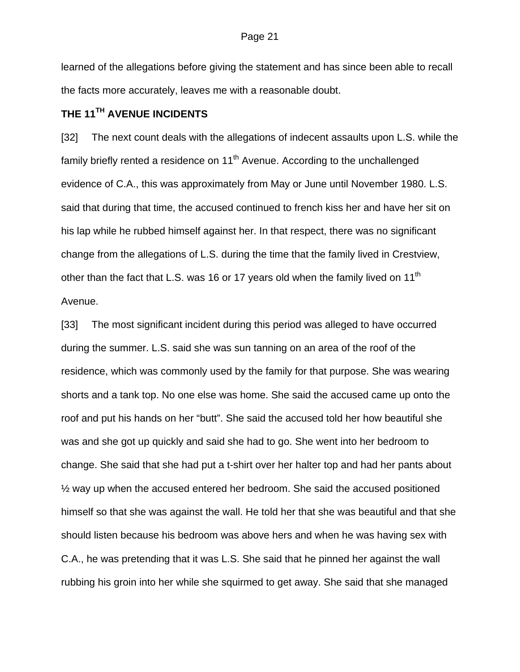learned of the allegations before giving the statement and has since been able to recall the facts more accurately, leaves me with a reasonable doubt.

## **THE 11TH AVENUE INCIDENTS**

[32] The next count deals with the allegations of indecent assaults upon L.S. while the family briefly rented a residence on  $11<sup>th</sup>$  Avenue. According to the unchallenged evidence of C.A., this was approximately from May or June until November 1980. L.S. said that during that time, the accused continued to french kiss her and have her sit on his lap while he rubbed himself against her. In that respect, there was no significant change from the allegations of L.S. during the time that the family lived in Crestview, other than the fact that L.S. was 16 or 17 years old when the family lived on 11<sup>th</sup> Avenue.

[33] The most significant incident during this period was alleged to have occurred during the summer. L.S. said she was sun tanning on an area of the roof of the residence, which was commonly used by the family for that purpose. She was wearing shorts and a tank top. No one else was home. She said the accused came up onto the roof and put his hands on her "butt". She said the accused told her how beautiful she was and she got up quickly and said she had to go. She went into her bedroom to change. She said that she had put a t-shirt over her halter top and had her pants about ½ way up when the accused entered her bedroom. She said the accused positioned himself so that she was against the wall. He told her that she was beautiful and that she should listen because his bedroom was above hers and when he was having sex with C.A., he was pretending that it was L.S. She said that he pinned her against the wall rubbing his groin into her while she squirmed to get away. She said that she managed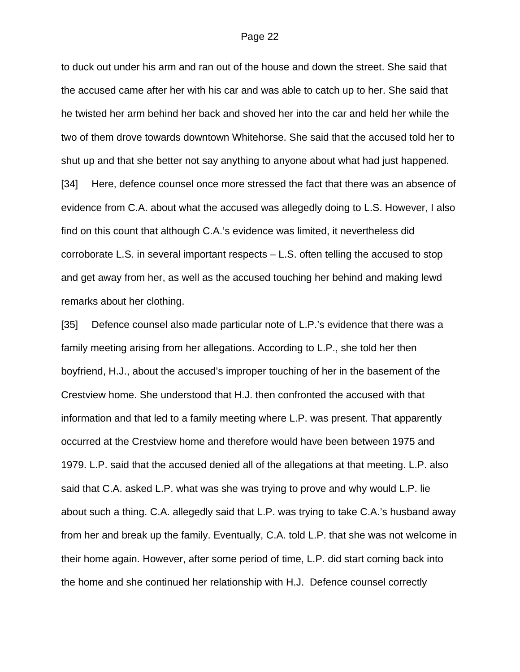to duck out under his arm and ran out of the house and down the street. She said that the accused came after her with his car and was able to catch up to her. She said that he twisted her arm behind her back and shoved her into the car and held her while the two of them drove towards downtown Whitehorse. She said that the accused told her to shut up and that she better not say anything to anyone about what had just happened. [34] Here, defence counsel once more stressed the fact that there was an absence of evidence from C.A. about what the accused was allegedly doing to L.S. However, I also find on this count that although C.A.'s evidence was limited, it nevertheless did corroborate L.S. in several important respects – L.S. often telling the accused to stop and get away from her, as well as the accused touching her behind and making lewd remarks about her clothing.

[35] Defence counsel also made particular note of L.P.'s evidence that there was a family meeting arising from her allegations. According to L.P., she told her then boyfriend, H.J., about the accused's improper touching of her in the basement of the Crestview home. She understood that H.J. then confronted the accused with that information and that led to a family meeting where L.P. was present. That apparently occurred at the Crestview home and therefore would have been between 1975 and 1979. L.P. said that the accused denied all of the allegations at that meeting. L.P. also said that C.A. asked L.P. what was she was trying to prove and why would L.P. lie about such a thing. C.A. allegedly said that L.P. was trying to take C.A.'s husband away from her and break up the family. Eventually, C.A. told L.P. that she was not welcome in their home again. However, after some period of time, L.P. did start coming back into the home and she continued her relationship with H.J. Defence counsel correctly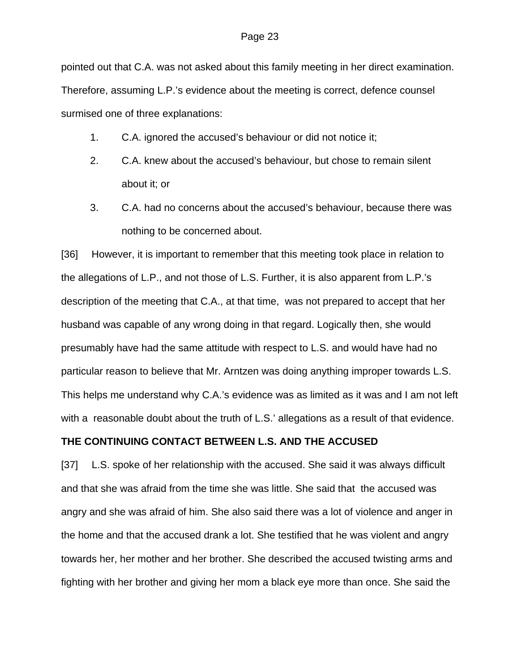#### Page 23

pointed out that C.A. was not asked about this family meeting in her direct examination.

Therefore, assuming L.P.'s evidence about the meeting is correct, defence counsel surmised one of three explanations:

- 1. C.A. ignored the accused's behaviour or did not notice it;
- 2. C.A. knew about the accused's behaviour, but chose to remain silent about it; or
- 3. C.A. had no concerns about the accused's behaviour, because there was nothing to be concerned about.

[36] However, it is important to remember that this meeting took place in relation to the allegations of L.P., and not those of L.S. Further, it is also apparent from L.P.'s description of the meeting that C.A., at that time, was not prepared to accept that her husband was capable of any wrong doing in that regard. Logically then, she would presumably have had the same attitude with respect to L.S. and would have had no particular reason to believe that Mr. Arntzen was doing anything improper towards L.S. This helps me understand why C.A.'s evidence was as limited as it was and I am not left with a reasonable doubt about the truth of L.S.' allegations as a result of that evidence.

#### **THE CONTINUING CONTACT BETWEEN L.S. AND THE ACCUSED**

[37] L.S. spoke of her relationship with the accused. She said it was always difficult and that she was afraid from the time she was little. She said that the accused was angry and she was afraid of him. She also said there was a lot of violence and anger in the home and that the accused drank a lot. She testified that he was violent and angry towards her, her mother and her brother. She described the accused twisting arms and fighting with her brother and giving her mom a black eye more than once. She said the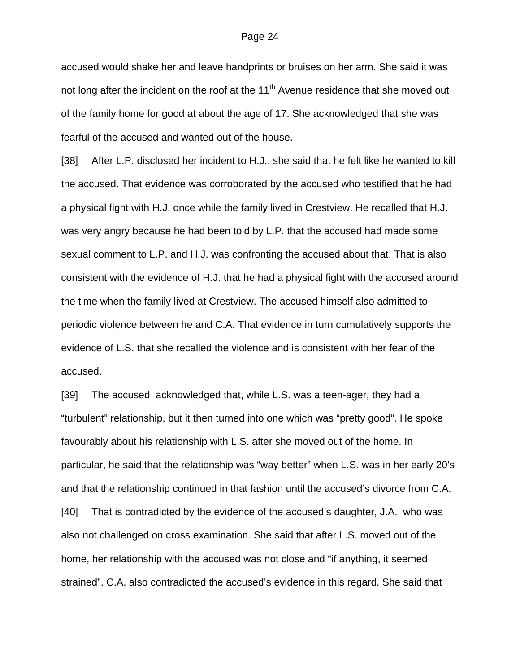accused would shake her and leave handprints or bruises on her arm. She said it was not long after the incident on the roof at the  $11<sup>th</sup>$  Avenue residence that she moved out of the family home for good at about the age of 17. She acknowledged that she was fearful of the accused and wanted out of the house.

[38] After L.P. disclosed her incident to H.J., she said that he felt like he wanted to kill the accused. That evidence was corroborated by the accused who testified that he had a physical fight with H.J. once while the family lived in Crestview. He recalled that H.J. was very angry because he had been told by L.P. that the accused had made some sexual comment to L.P. and H.J. was confronting the accused about that. That is also consistent with the evidence of H.J. that he had a physical fight with the accused around the time when the family lived at Crestview. The accused himself also admitted to periodic violence between he and C.A. That evidence in turn cumulatively supports the evidence of L.S. that she recalled the violence and is consistent with her fear of the accused.

[39] The accused acknowledged that, while L.S. was a teen-ager, they had a "turbulent" relationship, but it then turned into one which was "pretty good". He spoke favourably about his relationship with L.S. after she moved out of the home. In particular, he said that the relationship was "way better" when L.S. was in her early 20's and that the relationship continued in that fashion until the accused's divorce from C.A. [40] That is contradicted by the evidence of the accused's daughter, J.A., who was also not challenged on cross examination. She said that after L.S. moved out of the home, her relationship with the accused was not close and "if anything, it seemed strained". C.A. also contradicted the accused's evidence in this regard. She said that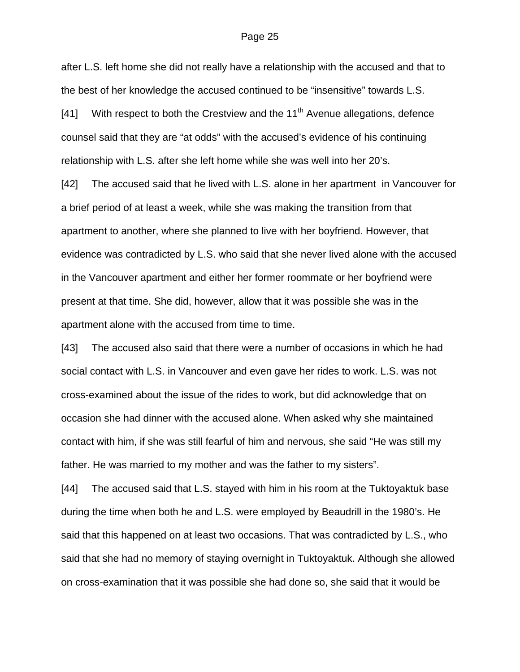#### Page 25

after L.S. left home she did not really have a relationship with the accused and that to the best of her knowledge the accused continued to be "insensitive" towards L.S.

[41] With respect to both the Crestview and the  $11<sup>th</sup>$  Avenue allegations, defence counsel said that they are "at odds" with the accused's evidence of his continuing relationship with L.S. after she left home while she was well into her 20's.

[42] The accused said that he lived with L.S. alone in her apartment in Vancouver for a brief period of at least a week, while she was making the transition from that apartment to another, where she planned to live with her boyfriend. However, that evidence was contradicted by L.S. who said that she never lived alone with the accused in the Vancouver apartment and either her former roommate or her boyfriend were present at that time. She did, however, allow that it was possible she was in the apartment alone with the accused from time to time.

[43] The accused also said that there were a number of occasions in which he had social contact with L.S. in Vancouver and even gave her rides to work. L.S. was not cross-examined about the issue of the rides to work, but did acknowledge that on occasion she had dinner with the accused alone. When asked why she maintained contact with him, if she was still fearful of him and nervous, she said "He was still my father. He was married to my mother and was the father to my sisters".

[44] The accused said that L.S. stayed with him in his room at the Tuktoyaktuk base during the time when both he and L.S. were employed by Beaudrill in the 1980's. He said that this happened on at least two occasions. That was contradicted by L.S., who said that she had no memory of staying overnight in Tuktoyaktuk. Although she allowed on cross-examination that it was possible she had done so, she said that it would be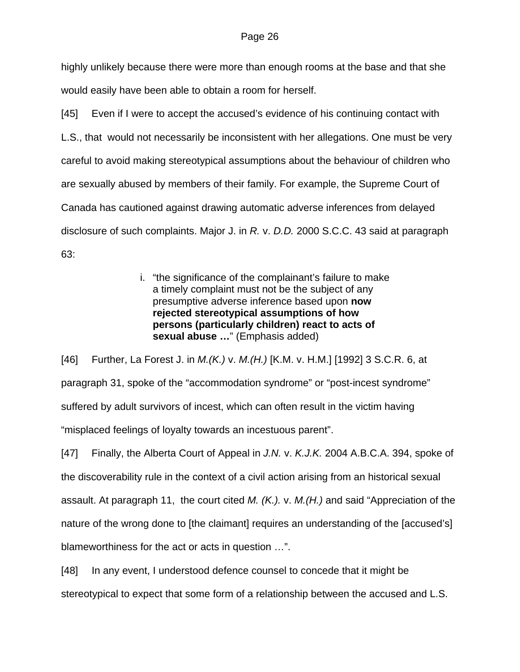highly unlikely because there were more than enough rooms at the base and that she would easily have been able to obtain a room for herself.

[45] Even if I were to accept the accused's evidence of his continuing contact with L.S., that would not necessarily be inconsistent with her allegations. One must be very careful to avoid making stereotypical assumptions about the behaviour of children who are sexually abused by members of their family. For example, the Supreme Court of Canada has cautioned against drawing automatic adverse inferences from delayed disclosure of such complaints. Major J. in *R.* v. *D.D.* 2000 S.C.C. 43 said at paragraph 63:

> i. "the significance of the complainant's failure to make a timely complaint must not be the subject of any presumptive adverse inference based upon **now rejected stereotypical assumptions of how persons (particularly children) react to acts of sexual abuse …**" (Emphasis added)

[46] Further, La Forest J. in *M.(K.)* v. *M.(H.)* [K.M. v. H.M.] [1992] 3 S.C.R. 6, at paragraph 31, spoke of the "accommodation syndrome" or "post-incest syndrome" suffered by adult survivors of incest, which can often result in the victim having "misplaced feelings of loyalty towards an incestuous parent".

[47] Finally, the Alberta Court of Appeal in *J.N.* v. *K.J.K.* 2004 A.B.C.A. 394, spoke of the discoverability rule in the context of a civil action arising from an historical sexual assault. At paragraph 11, the court cited *M. (K.).* v. *M.(H.)* and said "Appreciation of the nature of the wrong done to [the claimant] requires an understanding of the [accused's] blameworthiness for the act or acts in question …".

[48] In any event, I understood defence counsel to concede that it might be stereotypical to expect that some form of a relationship between the accused and L.S.